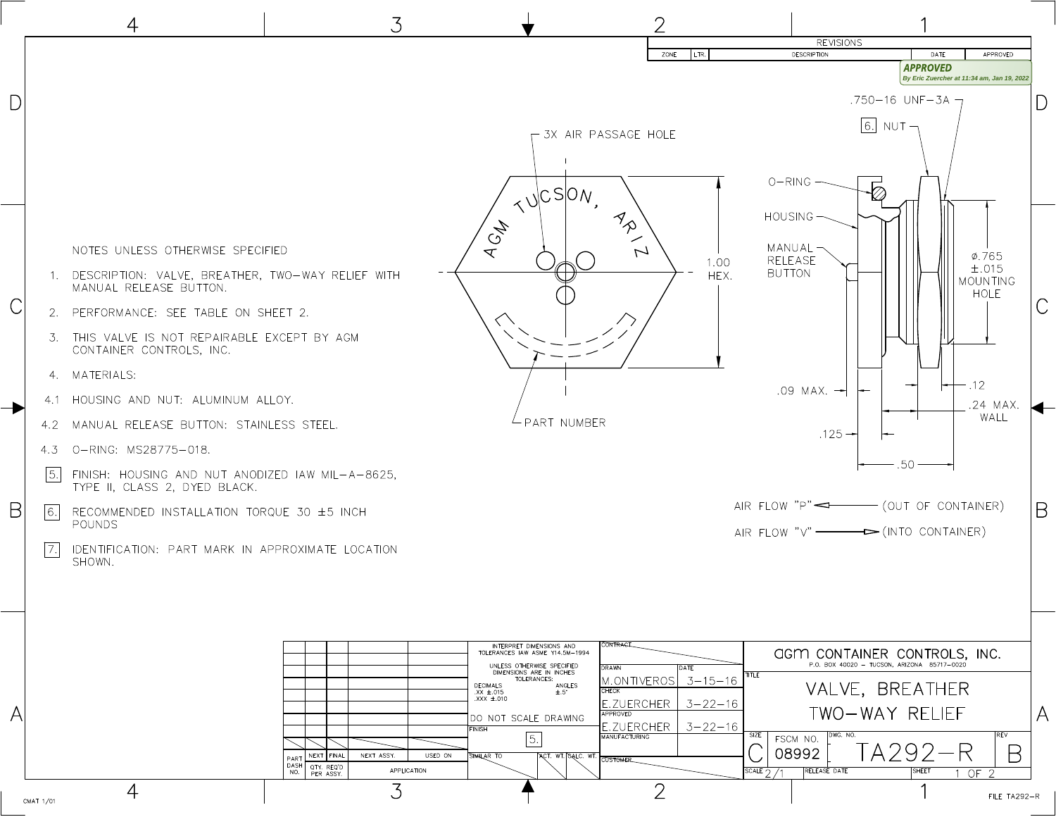